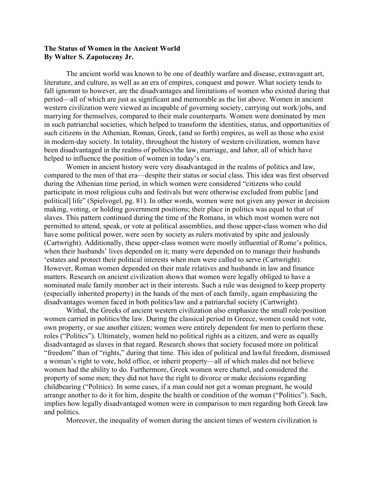## **The Status of Women in the Ancient World By Walter S. Zapotoczny Jr.**

The ancient world was known to be one of deathly warfare and disease, extravagant art, literature, and culture, as well as an era of empires, conquest and power. What society tends to fall ignorant to however, are the disadvantages and limitations of women who existed during that period—all of which are just as significant and memorable as the list above. Women in ancient western civilization were viewed as incapable of governing society, carrying out work/jobs, and marrying for themselves, compared to their male counterparts. Women were dominated by men in such patriarchal societies, which helped to transform the identities, status, and opportunities of such citizens in the Athenian, Roman, Greek, (and so forth) empires, as well as those who exist in modern-day society. In totality, throughout the history of western civilization, women have been disadvantaged in the realms of politics/the law, marriage, and labor, all of which have helped to influence the position of women in today's era.

Women in ancient history were very disadvantaged in the realms of politics and law, compared to the men of that era—despite their status or social class. This idea was first observed during the Athenian time period, in which women were considered "citizens who could participate in most religious cults and festivals but were otherwise excluded from public [and political] life" (Spielvogel, pg. 81). In other words, women were not given any power in decision making, voting, or holding government positions; their place in politics was equal to that of slaves. This pattern continued during the time of the Romans, in which most women were not permitted to attend, speak, or vote at political assemblies, and those upper-class women who did have some political power, were seen by society as rulers motivated by spite and jealously (Cartwright). Additionally, these upper-class women were mostly influential of Rome's politics, when their husbands' lives depended on it; many were depended on to manage their husbands 'estates and protect their political interests when men were called to serve (Cartwright). However, Roman women depended on their male relatives and husbands in law and finance matters. Research on ancient civilization shows that women were legally obliged to have a nominated male family member act in their interests. Such a rule was designed to keep property (especially inherited property) in the hands of the men of each family, again emphasizing the disadvantages women faced in both politics/law and a patriarchal society (Cartwright).

Withal, the Greeks of ancient western civilization also emphasize the small role/position women carried in politics/the law. During the classical period in Greece, women could not vote, own property, or sue another citizen; women were entirely dependent for men to perform these roles ("Politics"). Ultimately, women held no political rights as a citizen, and were as equally disadvantaged as slaves in that regard. Research shows that society focused more on political "freedom" than of "rights," during that time. This idea of political and lawful freedom, dismissed a woman's right to vote, hold office, or inherit property—all of which males did not believe women had the ability to do. Furthermore, Greek women were chattel, and considered the property of some men; they did not have the right to divorce or make decisions regarding childbearing ("Politics). In some cases, if a man could not get a woman pregnant, he would arrange another to do it for him, despite the health or condition of the woman ("Politics"). Such, implies how legally disadvantaged women were in comparison to men regarding both Greek law and politics.

Moreover, the inequality of women during the ancient times of western civilization is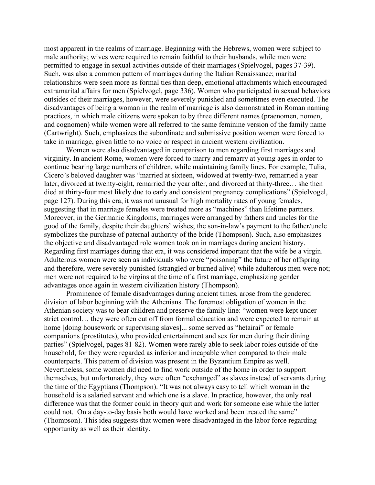most apparent in the realms of marriage. Beginning with the Hebrews, women were subject to male authority; wives were required to remain faithful to their husbands, while men were permitted to engage in sexual activities outside of their marriages (Spielvogel, pages 37-39). Such, was also a common pattern of marriages during the Italian Renaissance; marital relationships were seen more as formal ties than deep, emotional attachments which encouraged extramarital affairs for men (Spielvogel, page 336). Women who participated in sexual behaviors outsides of their marriages, however, were severely punished and sometimes even executed. The disadvantages of being a woman in the realm of marriage is also demonstrated in Roman naming practices, in which male citizens were spoken to by three different names (praenomen, nomen, and cognomen) while women were all referred to the same feminine version of the family name (Cartwright). Such, emphasizes the subordinate and submissive position women were forced to take in marriage, given little to no voice or respect in ancient western civilization.

Women were also disadvantaged in comparison to men regarding first marriages and virginity. In ancient Rome, women were forced to marry and remarry at young ages in order to continue bearing large numbers of children, while maintaining family lines. For example, Tulia, Cicero's beloved daughter was "married at sixteen, widowed at twenty-two, remarried a year later, divorced at twenty-eight, remarried the year after, and divorced at thirty-three… she then died at thirty-four most likely due to early and consistent pregnancy complications" (Spielvogel, page 127). During this era, it was not unusual for high mortality rates of young females, suggesting that in marriage females were treated more as "machines" than lifetime partners. Moreover, in the Germanic Kingdoms, marriages were arranged by fathers and uncles for the good of the family, despite their daughters' wishes; the son-in-law's payment to the father/uncle symbolizes the purchase of paternal authority of the bride (Thompson). Such, also emphasizes the objective and disadvantaged role women took on in marriages during ancient history. Regarding first marriages during that era, it was considered important that the wife be a virgin. Adulterous women were seen as individuals who were "poisoning" the future of her offspring and therefore, were severely punished (strangled or burned alive) while adulterous men were not; men were not required to be virgins at the time of a first marriage, emphasizing gender advantages once again in western civilization history (Thompson).

Prominence of female disadvantages during ancient times, arose from the gendered division of labor beginning with the Athenians. The foremost obligation of women in the Athenian society was to bear children and preserve the family line: "women were kept under strict control… they were often cut off from formal education and were expected to remain at home [doing housework or supervising slaves]... some served as "hetairai" or female companions (prostitutes), who provided entertainment and sex for men during their dining parties" (Spielvogel, pages 81-82). Women were rarely able to seek labor roles outside of the household, for they were regarded as inferior and incapable when compared to their male counterparts. This pattern of division was present in the Byzantium Empire as well. Nevertheless, some women did need to find work outside of the home in order to support themselves, but unfortunately, they were often "exchanged" as slaves instead of servants during the time of the Egyptians (Thompson). "It was not always easy to tell which woman in the household is a salaried servant and which one is a slave. In practice, however, the only real difference was that the former could in theory quit and work for someone else while the latter could not. On a day-to-day basis both would have worked and been treated the same" (Thompson). This idea suggests that women were disadvantaged in the labor force regarding opportunity as well as their identity.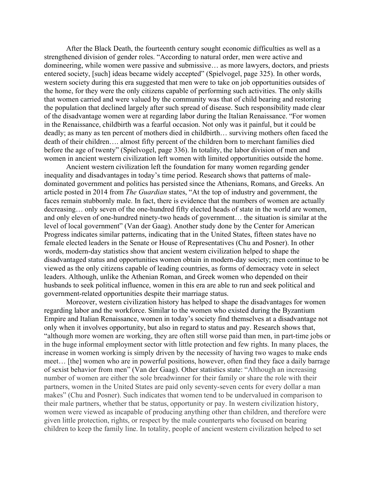After the Black Death, the fourteenth century sought economic difficulties as well as a strengthened division of gender roles. "According to natural order, men were active and domineering, while women were passive and submissive… as more lawyers, doctors, and priests entered society, [such] ideas became widely accepted" (Spielvogel, page 325). In other words, western society during this era suggested that men were to take on job opportunities outsides of the home, for they were the only citizens capable of performing such activities. The only skills that women carried and were valued by the community was that of child bearing and restoring the population that declined largely after such spread of disease. Such responsibility made clear of the disadvantage women were at regarding labor during the Italian Renaissance. "For women in the Renaissance, childbirth was a fearful occasion. Not only was it painful, but it could be deadly; as many as ten percent of mothers died in childbirth… surviving mothers often faced the death of their children…. almost fifty percent of the children born to merchant families died before the age of twenty" (Spielvogel, page 336). In totality, the labor division of men and women in ancient western civilization left women with limited opportunities outside the home.

Ancient western civilization left the foundation for many women regarding gender inequality and disadvantages in today's time period. Research shows that patterns of maledominated government and politics has persisted since the Athenians, Romans, and Greeks. An article posted in 2014 from *The Guardian* states, "At the top of industry and government, the faces remain stubbornly male. In fact, there is evidence that the numbers of women are actually decreasing… only seven of the one-hundred fifty elected heads of state in the world are women, and only eleven of one-hundred ninety-two heads of government… the situation is similar at the level of local government" (Van der Gaag). Another study done by the Center for American Progress indicates similar patterns, indicating that in the United States, fifteen states have no female elected leaders in the Senate or House of Representatives (Chu and Posner). In other words, modern-day statistics show that ancient western civilization helped to shape the disadvantaged status and opportunities women obtain in modern-day society; men continue to be viewed as the only citizens capable of leading countries, as forms of democracy vote in select leaders. Although, unlike the Athenian Roman, and Greek women who depended on their husbands to seek political influence, women in this era are able to run and seek political and government-related opportunities despite their marriage status.

Moreover, western civilization history has helped to shape the disadvantages for women regarding labor and the workforce. Similar to the women who existed during the Byzantium Empire and Italian Renaissance, women in today's society find themselves at a disadvantage not only when it involves opportunity, but also in regard to status and pay. Research shows that, "although more women are working, they are often still worse paid than men, in part-time jobs or in the huge informal employment sector with little protection and few rights. In many places, the increase in women working is simply driven by the necessity of having two wages to make ends meet… [the] women who are in powerful positions, however, often find they face a daily barrage of sexist behavior from men" (Van der Gaag). Other statistics state: "Although an increasing number of women are either the sole breadwinner for their family or share the role with their partners, women in the United States are paid only seventy-seven cents for every dollar a man makes" (Chu and Posner). Such indicates that women tend to be undervalued in comparison to their male partners, whether that be status, opportunity or pay. In western civilization history, women were viewed as incapable of producing anything other than children, and therefore were given little protection, rights, or respect by the male counterparts who focused on bearing children to keep the family line. In totality, people of ancient western civilization helped to set